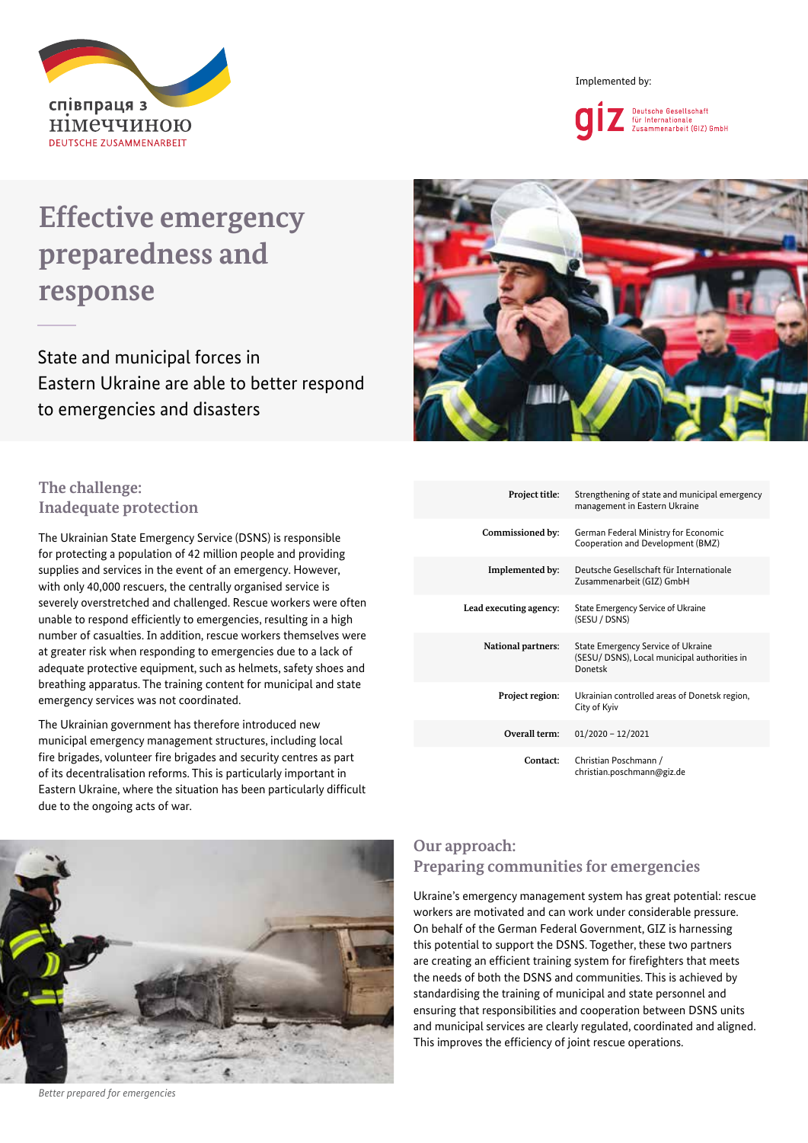

Implemented by:



# **Effective emergency preparedness and response**

State and municipal forces in Eastern Ukraine are able to better respond to emergencies and disasters



## **The challenge: Inadequate protection**

The Ukrainian State Emergency Service (DSNS) is responsible for protecting a population of 42 million people and providing supplies and services in the event of an emergency. However, with only 40,000 rescuers, the centrally organised service is severely overstretched and challenged. Rescue workers were often unable to respond efficiently to emergencies, resulting in a high number of casualties. In addition, rescue workers themselves were at greater risk when responding to emergencies due to a lack of adequate protective equipment, such as helmets, safety shoes and breathing apparatus. The training content for municipal and state emergency services was not coordinated.

The Ukrainian government has therefore introduced new municipal emergency management structures, including local fire brigades, volunteer fire brigades and security centres as part of its decentralisation reforms. This is particularly important in Eastern Ukraine, where the situation has been particularly difficult due to the ongoing acts of war.

| Project title:            | Strengthening of state and municipal emergency<br>management in Eastern Ukraine               |
|---------------------------|-----------------------------------------------------------------------------------------------|
| Commissioned by:          | German Federal Ministry for Economic<br>Cooperation and Development (BMZ)                     |
| Implemented by:           | Deutsche Gesellschaft für Internationale<br>Zusammenarbeit (GIZ) GmbH                         |
| Lead executing agency:    | State Emergency Service of Ukraine<br>(SESU / DSNS)                                           |
| <b>National partners:</b> | State Emergency Service of Ukraine<br>(SESU/ DSNS), Local municipal authorities in<br>Donetsk |
| Project region:           | Ukrainian controlled areas of Donetsk region,<br>City of Kyiv                                 |
| Overall term:             | $01/2020 - 12/2021$                                                                           |
| Contact:                  | Christian Poschmann /<br>christian.poschmann@giz.de                                           |



#### *Better prepared for emergencies*

#### **Our approach: Preparing communities for emergencies**

Ukraine's emergency management system has great potential: rescue workers are motivated and can work under considerable pressure. On behalf of the German Federal Government, GIZ is harnessing this potential to support the DSNS. Together, these two partners are creating an efficient training system for firefighters that meets the needs of both the DSNS and communities. This is achieved by standardising the training of municipal and state personnel and ensuring that responsibilities and cooperation between DSNS units and municipal services are clearly regulated, coordinated and aligned. This improves the efficiency of joint rescue operations.